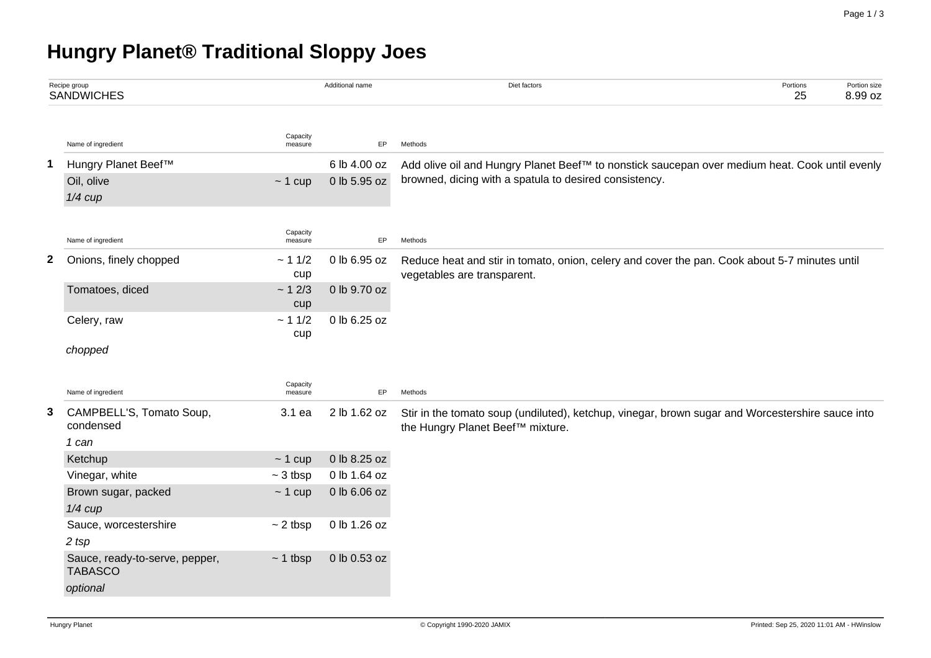## **Hungry Planet® Traditional Sloppy Joes**

|   | Recipe group<br><b>SANDWICHES</b>                |                         | Additional name              | Diet factors                                                                                                                 | Portions<br>25 | Portion size<br>8.99 oz |  |  |  |
|---|--------------------------------------------------|-------------------------|------------------------------|------------------------------------------------------------------------------------------------------------------------------|----------------|-------------------------|--|--|--|
|   | Name of ingredient                               | Capacity<br>measure     | EP                           | Methods                                                                                                                      |                |                         |  |  |  |
| 1 | Hungry Planet Beef™                              |                         | 6 lb 4.00 oz                 | Add olive oil and Hungry Planet Beef™ to nonstick saucepan over medium heat. Cook until evenly                               |                |                         |  |  |  |
|   | Oil, olive                                       | $~1$ cup                | 0 lb 5.95 oz                 | browned, dicing with a spatula to desired consistency.                                                                       |                |                         |  |  |  |
|   | $1/4$ cup                                        |                         |                              |                                                                                                                              |                |                         |  |  |  |
|   |                                                  |                         |                              |                                                                                                                              |                |                         |  |  |  |
|   | Name of ingredient                               | Capacity<br>measure     | EP                           | Methods                                                                                                                      |                |                         |  |  |  |
| 2 | Onions, finely chopped                           | ~11/2<br>cup            | 0 lb 6.95 oz                 | Reduce heat and stir in tomato, onion, celery and cover the pan. Cook about 5-7 minutes until<br>vegetables are transparent. |                |                         |  |  |  |
|   | Tomatoes, diced                                  | ~12/3<br>cup            | 0 lb 9.70 oz                 |                                                                                                                              |                |                         |  |  |  |
|   | Celery, raw                                      | ~11/2<br>cup            | 0 lb 6.25 oz                 |                                                                                                                              |                |                         |  |  |  |
|   | chopped                                          |                         |                              |                                                                                                                              |                |                         |  |  |  |
|   | Name of ingredient                               | Capacity<br>measure     | EP                           | Methods                                                                                                                      |                |                         |  |  |  |
| 3 | CAMPBELL'S, Tomato Soup,                         | 3.1 ea                  | 2 lb 1.62 oz                 | Stir in the tomato soup (undiluted), ketchup, vinegar, brown sugar and Worcestershire sauce into                             |                |                         |  |  |  |
|   | condensed                                        |                         |                              | the Hungry Planet Beef™ mixture.                                                                                             |                |                         |  |  |  |
|   | 1 can                                            |                         |                              |                                                                                                                              |                |                         |  |  |  |
|   | Ketchup<br>Vinegar, white                        | $~1$ cup<br>$~5$ 3 tbsp | 0 lb 8.25 oz<br>0 lb 1.64 oz |                                                                                                                              |                |                         |  |  |  |
|   | Brown sugar, packed                              | $~1$ cup                | 0 lb 6.06 oz                 |                                                                                                                              |                |                         |  |  |  |
|   | $1/4$ cup                                        |                         |                              |                                                                                                                              |                |                         |  |  |  |
|   | Sauce, worcestershire                            | $\sim$ 2 tbsp           | 0 lb 1.26 oz                 |                                                                                                                              |                |                         |  |  |  |
|   | 2 tsp                                            |                         |                              |                                                                                                                              |                |                         |  |  |  |
|   | Sauce, ready-to-serve, pepper,<br><b>TABASCO</b> | $~1$ tbsp               | 0 lb 0.53 oz                 |                                                                                                                              |                |                         |  |  |  |
|   | optional                                         |                         |                              |                                                                                                                              |                |                         |  |  |  |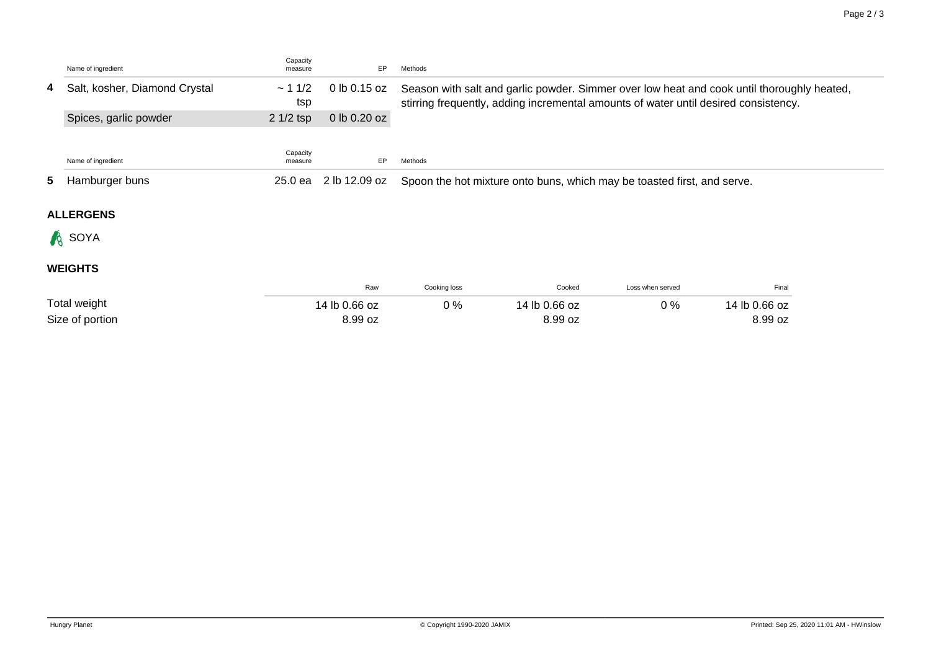|  | Name of ingredient              | Capacity<br>measure | EP.           | Methods                                                                                                                                                                           |
|--|---------------------------------|---------------------|---------------|-----------------------------------------------------------------------------------------------------------------------------------------------------------------------------------|
|  | 4 Salt, kosher, Diamond Crystal | $-11/2$<br>tsp      | 0 lb 0.15 oz  | Season with salt and garlic powder. Simmer over low heat and cook until thoroughly heated,<br>stirring frequently, adding incremental amounts of water until desired consistency. |
|  | Spices, garlic powder           | $21/2$ tsp          | 0 lb 0.20 oz  |                                                                                                                                                                                   |
|  | Name of ingredient              | Capacity<br>measure | EP.           | Methods                                                                                                                                                                           |
|  | 5 Hamburger buns                | 25.0 ea             | 2 lb 12.09 oz | Spoon the hot mixture onto buns, which may be toasted first, and serve.                                                                                                           |
|  | <b>ALLERGENS</b>                |                     |               |                                                                                                                                                                                   |
|  | <b>A</b> SOYA                   |                     |               |                                                                                                                                                                                   |

## **WEIGHTS**

|                 | Raw           | Cooking loss | Cooked        | Loss when served | Final         |
|-----------------|---------------|--------------|---------------|------------------|---------------|
| Total weight    | 14 lb 0.66 oz | ገ %          | 14 lb 0.66 oz | $0\%$            | 14 lb 0.66 oz |
| Size of portion | 8.99 oz       |              | 8.99 oz       |                  | 8.99 oz       |